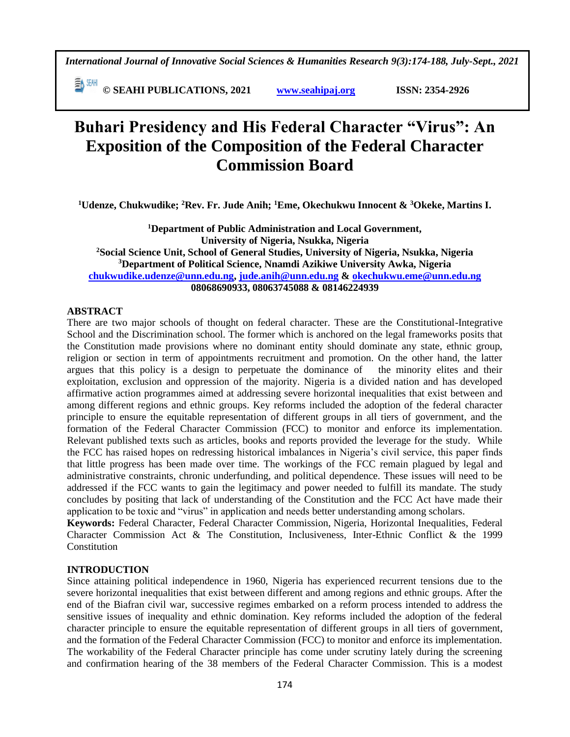*International Journal of Innovative Social Sciences & Humanities Research 9(3):174-188, July-Sept., 2021*

 **© SEAHI PUBLICATIONS, 2021 [www.seahipaj.org](http://www.seahipaj.org/) ISSN: 2354-2926** 

# **Buhari Presidency and His Federal Character "Virus": An Exposition of the Composition of the Federal Character Commission Board**

**<sup>1</sup>Udenze, Chukwudike; <sup>2</sup>Rev. Fr. Jude Anih; <sup>1</sup>Eme, Okechukwu Innocent & <sup>3</sup>Okeke, Martins I.**

**<sup>1</sup>Department of Public Administration and Local Government, University of Nigeria, Nsukka, Nigeria <sup>2</sup>Social Science Unit, School of General Studies, University of Nigeria, Nsukka, Nigeria <sup>3</sup>Department of Political Science, Nnamdi Azikiwe University Awka, Nigeria [chukwudike.udenze@unn.edu.ng,](mailto:chukwudike.udenze@unn.edu.ng) [jude.anih@unn.edu.ng](mailto:jude.anih@unn.edu.ng) & [okechukwu.eme@unn.edu.ng](mailto:okechukwu.eme@unn.edu.ng) 08068690933, 08063745088 & 08146224939**

#### **ABSTRACT**

There are two major schools of thought on federal character. These are the Constitutional-Integrative School and the Discrimination school. The former which is anchored on the legal frameworks posits that the Constitution made provisions where no dominant entity should dominate any state, ethnic group, religion or section in term of appointments recruitment and promotion. On the other hand, the latter argues that this policy is a design to perpetuate the dominance of the minority elites and their exploitation, exclusion and oppression of the majority. Nigeria is a divided nation and has developed affirmative action programmes aimed at addressing severe horizontal inequalities that exist between and among different regions and ethnic groups. Key reforms included the adoption of the federal character principle to ensure the equitable representation of different groups in all tiers of government, and the formation of the Federal Character Commission (FCC) to monitor and enforce its implementation. Relevant published texts such as articles, books and reports provided the leverage for the study. While the FCC has raised hopes on redressing historical imbalances in Nigeria's civil service, this paper finds that little progress has been made over time. The workings of the FCC remain plagued by legal and administrative constraints, chronic underfunding, and political dependence. These issues will need to be addressed if the FCC wants to gain the legitimacy and power needed to fulfill its mandate. The study concludes by positing that lack of understanding of the Constitution and the FCC Act have made their application to be toxic and "virus" in application and needs better understanding among scholars.

**Keywords:** Federal Character, Federal Character Commission, Nigeria, Horizontal Inequalities, Federal Character Commission Act & The Constitution, Inclusiveness, Inter-Ethnic Conflict & the 1999 **Constitution** 

#### **INTRODUCTION**

Since attaining political independence in 1960, Nigeria has experienced recurrent tensions due to the severe horizontal inequalities that exist between different and among regions and ethnic groups. After the end of the Biafran civil war, successive regimes embarked on a reform process intended to address the sensitive issues of inequality and ethnic domination. Key reforms included the adoption of the federal character principle to ensure the equitable representation of different groups in all tiers of government, and the formation of the Federal Character Commission (FCC) to monitor and enforce its implementation. The workability of the Federal Character principle has come under scrutiny lately during the screening and confirmation hearing of the 38 members of the Federal Character Commission. This is a modest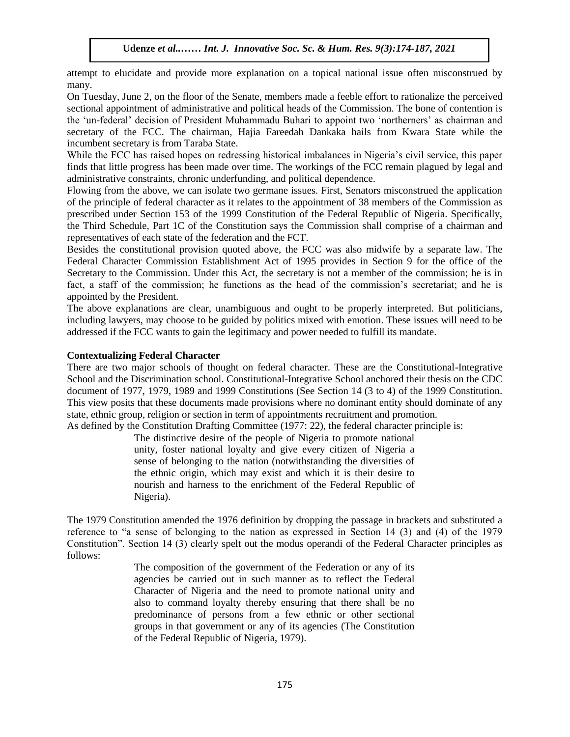attempt to elucidate and provide more explanation on a topical national issue often misconstrued by many.

many.<br>On Tuesday, June 2, on the floor of the Senate, members made a feeble effort to rationalize the perceived sectional appointment of administrative and political heads of the Commission. The bone of contention is the 'un-federal' decision of President Muhammadu Buhari to appoint two 'northerners' as chairman and secretary of the FCC. The chairman, Hajia Fareedah Dankaka hails from Kwara State while the incumbent secretary is from Taraba State.

While the FCC has raised hopes on redressing historical imbalances in Nigeria's civil service, this paper finds that little progress has been made over time. The workings of the FCC remain plagued by legal and administrative constraints, chronic underfunding, and political dependence.

Flowing from the above, we can isolate two germane issues. First, Senators misconstrued the application of the principle of federal character as it relates to the appointment of 38 members of the Commission as prescribed under Section 153 of the 1999 Constitution of the Federal Republic of Nigeria. Specifically, the Third Schedule, Part 1C of the Constitution says the Commission shall comprise of a chairman and representatives of each state of the federation and the FCT.

Besides the constitutional provision quoted above, the FCC was also midwife by a separate law. The Federal Character Commission Establishment Act of 1995 provides in Section 9 for the office of the Secretary to the Commission. Under this Act, the secretary is not a member of the commission; he is in fact, a staff of the commission; he functions as the head of the commission's secretariat; and he is appointed by the President. Arugu & World Expedient. The President.

The above explanations are clear, unambiguous and ought to be properly interpreted. But politicians, including lawyers, may choose to be guided by politics mixed with emotion. These issues will need to be addressed if the FCC wants to gain the legitimacy and power needed to fulfill its mandate.  $\mathcal{L}$  words  $\mathcal{L}$  in the Hum. Res. 8(1):1-11, 2020

#### **Contextualizing Federal Character**

There are two major schools of thought on federal character. These are the Constitutional-Integrative School and the Discrimination school. Constitutional-Integrative School anchored their thesis on the CDC document of 1977, 1979, 1989 and 1999 Constitutions (See Section 14 (3 to 4) of the 1999 Constitution. This view posits that these documents made provisions where no dominant entity should dominate of any state, ethnic group, religion or section in term of appointments recruitment and promotion.

As defined by the Constitution Drafting Committee (1977: 22), the federal character principle is:

The distinctive desire of the people of Nigeria to promote national unity, foster national loyalty and give every citizen of Nigeria a sense of belonging to the nation (notwithstanding the diversities of the ethnic origin, which may exist and which it is their desire to nourish and harness to the enrichment of the Federal Republic of Nigeria).

The 1979 Constitution amended the 1976 definition by dropping the passage in brackets and substituted a reference to "a sense of belonging to the nation as expressed in Section 14 (3) and (4) of the 1979 Constitution". Section 14 (3) clearly spelt out the modus operandi of the Federal Character principles as follows:

> The composition of the government of the Federation or any of its agencies be carried out in such manner as to reflect the Federal Character of Nigeria and the need to promote national unity and also to command loyalty thereby ensuring that there shall be no predominance of persons from a few ethnic or other sectional groups in that government or any of its agencies (The Constitution of the Federal Republic of Nigeria, 1979).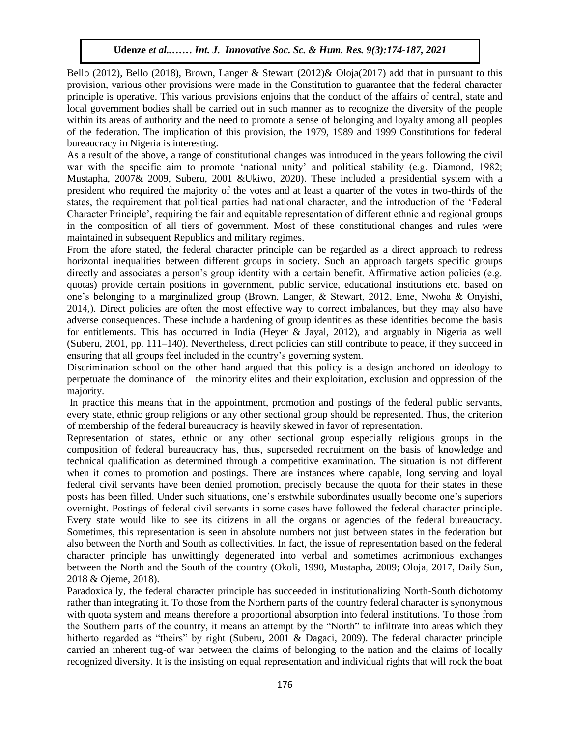Bello (2012), Bello (2018), Brown, Langer & Stewart (2012)& Oloja(2017) add that in pursuant to this provision, various other provisions were made in the Constitution to guarantee that the federal character provision, various other provisions were made in the constitution to guarantee that the redeval entriever principle is operative. This various provisions enjoins that the conduct of the affairs of central, state and local government bodies shall be carried out in such manner as to recognize the diversity of the people within its areas of authority and the need to promote a sense of belonging and loyalty among all peoples of the federation. The implication of this provision, the 1979, 1989 and 1999 Constitutions for federal bureaucracy in Nigeria is interesting.

As a result of the above, a range of constitutional changes was introduced in the years following the civil war with the specific aim to promote 'national unity' and political stability (e.g. Diamond, 1982; Mustapha, 2007 $\&$  2009, Suberu, 2001 & Ukiwo, 2020). These included a presidential system with a president who required the majority of the votes and at least a quarter of the votes in two-thirds of the states, the requirement that political parties had national character, and the introduction of the 'Federal Character Principle', requiring the fair and equitable representation of different ethnic and regional groups in the composition of all tiers of government. Most of these constitutional changes and rules were maintained in subsequent Republics and military regimes.

From the afore stated, the federal character principle can be regarded as a direct approach to redress horizontal inequalities between different groups in society. Such an approach targets specific groups directly and associates a person's group identity with a certain benefit. Affirmative action policies (e.g. quotas) provide certain positions in government, public service, educational institutions etc. based on one's belonging to a marginalized group (Brown, Langer, & Stewart, 2012, Eme, Nwoha & Onyishi, 2014,). Direct policies are often the most effective way to correct imbalances, but they may also have adverse consequences. These include a hardening of group identities as these identities become the basis for entitlements. This has occurred in India (Heyer & Jayal, 2012), and arguably in Nigeria as well (Suberu, 2001, pp. 111-140). Nevertheless, direct policies can still contribute to peace, if they succeed in ensuring that all groups feel included in the country's governing system.

Discrimination school on the other hand argued that this policy is a design anchored on ideology to perpetuate the dominance of the minority elites and their exploitation, exclusion and oppression of the majority.

In practice this means that in the appointment, promotion and postings of the federal public servants, every state, ethnic group religions or any other sectional group should be represented. Thus, the criterion of membership of the federal bureaucracy is heavily skewed in favor of representation.

Representation of states, ethnic or any other sectional group especially religious groups in the composition of federal bureaucracy has, thus, superseded recruitment on the basis of knowledge and technical qualification as determined through a competitive examination. The situation is not different when it comes to promotion and postings. There are instances where capable, long serving and loyal federal civil servants have been denied promotion, precisely because the quota for their states in these posts has been filled. Under such situations, one's erstwhile subordinates usually become one's superiors overnight. Postings of federal civil servants in some cases have followed the federal character principle. Every state would like to see its citizens in all the organs or agencies of the federal bureaucracy. Sometimes, this representation is seen in absolute numbers not just between states in the federation but also between the North and South as collectivities. In fact, the issue of representation based on the federal character principle has unwittingly degenerated into verbal and sometimes acrimonious exchanges between the North and the South of the country (Okoli, 1990, Mustapha, 2009; Oloja, 2017, Daily Sun, 2018 & Ojeme, 2018).

Paradoxically, the federal character principle has succeeded in institutionalizing North-South dichotomy rather than integrating it. To those from the Northern parts of the country federal character is synonymous with quota system and means therefore a proportional absorption into federal institutions. To those from the Southern parts of the country, it means an attempt by the "North" to infiltrate into areas which they hitherto regarded as "theirs" by right (Suberu, 2001 & Dagaci, 2009). The federal character principle carried an inherent tug-of war between the claims of belonging to the nation and the claims of locally recognized diversity. It is the insisting on equal representation and individual rights that will rock the boat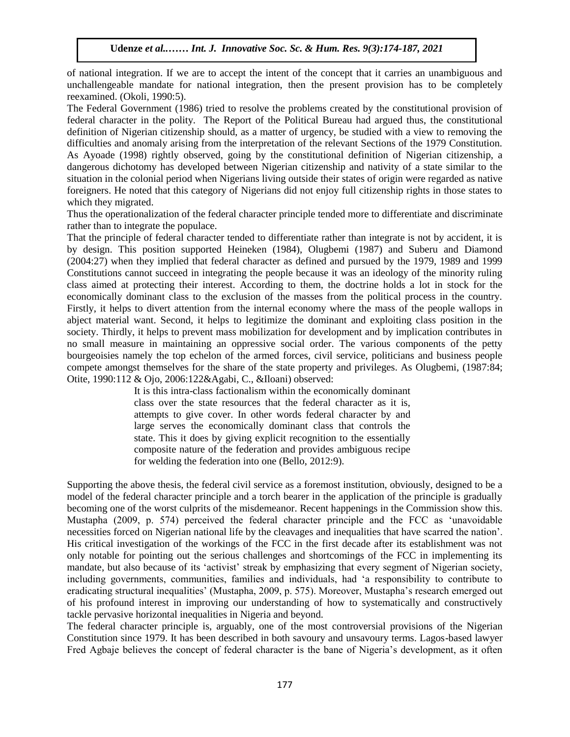of national integration. If we are to accept the intent of the concept that it carries an unambiguous and unchallengeable mandate for national integration, then the present provision has to be completely measure of  $\mathcal{O}(\text{Nol} \cdot 1000.5)$ reexamined. (Okoli, 1990:5).

The Federal Government (1986) tried to resolve the problems created by the constitutional provision of federal character in the polity. The Report of the Political Bureau had argued thus, the constitutional definition of Nigerian citizenship should, as a matter of urgency, be studied with a view to removing the difficulties and anomaly arising from the interpretation of the relevant Sections of the 1979 Constitution. As Ayoade (1998) rightly observed, going by the constitutional definition of Nigerian citizenship, a dangerous dichotomy has developed between Nigerian citizenship and nativity of a state similar to the situation in the colonial period when Nigerians living outside their states of origin were regarded as native situation in the colonial period when Nigerians living outside their states of origin were regarded as native foreigners. He noted that this category of Nigerians did not enjoy full citizenship rights in those states to which they migrated.

Thus the operationalization of the federal character principle tended more to differentiate and discriminate rather than to integrate the populace.

That the principle of federal character tended to differentiate rather than integrate is not by accident, it is by design. This position supported Heineken (1984), Olugbemi (1987) and Suberu and Diamond  $(2004:27)$  when they implied that federal character as defined and pursued by the 1979, 1989 and 1999 (2004:27) Constitutions cannot succeed in integrating the people because it was an ideology of the minority ruling class aimed at protecting their interest. According to them, the doctrine holds a lot in stock for the economically dominant class to the exclusion of the masses from the political process in the country. Firstly, it helps to divert attention from the internal economy where the mass of the people wallops in abject material want. Second, it helps to legitimize the dominant and exploiting class position in the society. Thirdly, it helps to prevent mass mobilization for development and by implication contributes in no small measure in maintaining an oppressive social order. The various components of the petty bourgeoisies namely the top echelon of the armed forces, civil service, politicians and business people compete amongst themselves for the share of the state property and privileges. As Olugbemi, (1987:84; Otite, 1990:112 & Ojo, 2006:122&Agabi, C., &Iloani) observed:

> It is this intra-class factionalism within the economically dominant class over the state resources that the federal character as it is, attempts to give cover. In other words federal character by and large serves the economically dominant class that controls the state. This it does by giving explicit recognition to the essentially composite nature of the federation and provides ambiguous recipe for welding the federation into one (Bello, 2012:9).

Supporting the above thesis, the federal civil service as a foremost institution, obviously, designed to be a model of the federal character principle and a torch bearer in the application of the principle is gradually becoming one of the worst culprits of the misdemeanor. Recent happenings in the Commission show this. Mustapha (2009, p. 574) perceived the federal character principle and the FCC as 'unavoidable necessities forced on Nigerian national life by the cleavages and inequalities that have scarred the nation'. His critical investigation of the workings of the FCC in the first decade after its establishment was not only notable for pointing out the serious challenges and shortcomings of the FCC in implementing its mandate, but also because of its 'activist' streak by emphasizing that every segment of Nigerian society, including governments, communities, families and individuals, had 'a responsibility to contribute to eradicating structural inequalities' (Mustapha, 2009, p. 575). Moreover, Mustapha's research emerged out of his profound interest in improving our understanding of how to systematically and constructively tackle pervasive horizontal inequalities in Nigeria and beyond.

The federal character principle is, arguably, one of the most controversial provisions of the Nigerian Constitution since 1979. It has been described in both savoury and unsavoury terms. Lagos-based lawyer Fred Agbaje believes the concept of federal character is the bane of Nigeria's development, as it often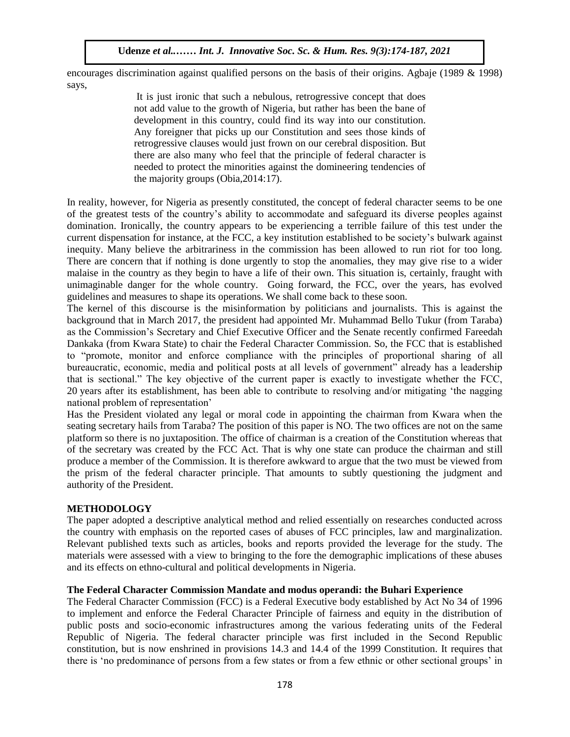encourages discrimination against qualified persons on the basis of their origins. Agbaje (1989 & 1998) says,

It is just ironic that such a nebulous, retrogressive concept that does not add value to the growth of Nigeria, but rather has been the bane of development in this country, could find its way into our constitution. Any foreigner that picks up our Constitution and sees those kinds of retrogressive clauses would just frown on our cerebral disposition. But there are also many who feel that the principle of federal character is needed to protect the minorities against the domineering tendencies of the majority groups  $(Obia, 2014:17)$ .

In reality, however, for Nigeria as presently constituted, the concept of federal character seems to be one of the greatest tests of the country's ability to accommodate and safeguard its diverse peoples against domination. Ironically, the country appears to be experiencing a terrible failure of this test under the current dispensation for instance, at the FCC, a key institution established to be society's bulwark against inequity. Many believe the arbitrariness in the commission has been allowed to run riot for too long. There are concern that if nothing is done urgently to stop the anomalies, they may give rise to a wider malaise in the country as they begin to have a life of their own. This situation is, certainly, fraught with unimaginable danger for the whole country. Going forward, the FCC, over the years, has evolved guidelines and measures to shape its operations. We shall come back to these soon.

guidenties and measures to shape its operations. We shall come back to these soon.<br>The kernel of this discourse is the misinformation by politicians and journalists. This is against the background that in March 2017, the president had appointed Mr. Muhammad Bello Tukur (from Taraba) as the Commission's Secretary and Chief Executive Officer and the Senate recently confirmed Fareedah Dankaka (from Kwara State) to chair the Federal Character Commission. So, the FCC that is established to "promote, monitor and enforce compliance with the principles of proportional sharing of all bureaucratic, economic, media and political posts at all levels of government" already has a leadership that is sectional." The key objective of the current paper is exactly to investigate whether the FCC, 20 years after its establishment, has been able to contribute to resolving and/or mitigating 'the nagging national problem of representation'

Has the President violated any legal or moral code in appointing the chairman from Kwara when the seating secretary hails from Taraba? The position of this paper is NO. The two offices are not on the same platform so there is no juxtaposition. The office of chairman is a creation of the Constitution whereas that of the secretary was created by the FCC Act. That is why one state can produce the chairman and still produce a member of the Commission. It is therefore awkward to argue that the two must be viewed from the prism of the federal character principle. That amounts to subtly questioning the judgment and authority of the President.

### **METHODOLOGY**

The paper adopted a descriptive analytical method and relied essentially on researches conducted across the country with emphasis on the reported cases of abuses of FCC principles, law and marginalization. Relevant published texts such as articles, books and reports provided the leverage for the study. The materials were assessed with a view to bringing to the fore the demographic implications of these abuses and its effects on ethno-cultural and political developments in Nigeria.

#### **The Federal Character Commission Mandate and modus operandi: the Buhari Experience**

The Federal Character Commission (FCC) is a Federal Executive body established by Act No 34 of 1996 to implement and enforce the Federal Character Principle of fairness and equity in the distribution of public posts and socio-economic infrastructures among the various federating units of the Federal Republic of Nigeria. The federal character principle was first included in the Second Republic constitution, but is now enshrined in provisions 14.3 and 14.4 of the 1999 Constitution. It requires that there is 'no predominance of persons from a few states or from a few ethnic or other sectional groups' in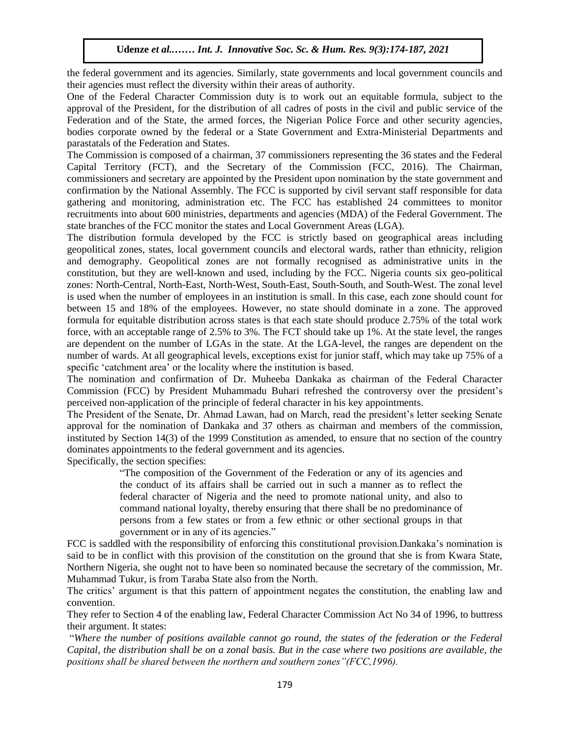the federal government and its agencies. Similarly, state governments and local government councils and their agencies must reflect the diversity within their areas of authority.

ned a generos mast ferrect the diversity whilm then areas of additionty.<br>One of the Federal Character Commission duty is to work out an equitable formula, subject to the approval of the President, for the distribution of all cadres of posts in the civil and public service of the Federation and of the State, the armed forces, the Nigerian Police Force and other security agencies, bodies corporate owned by the federal or a State Government and Extra-Ministerial Departments and parastatals of the Federation and States.

The Commission is composed of a chairman, 37 commissioners representing the 36 states and the Federal Capital Territory (FCT), and the Secretary of the Commission (FCC, 2016). The Chairman, commissioners and secretary are appointed by the President upon nomination by the state government and commissioners and secretary are appointed by the President upon nomination by the state government and confirmation by the National Assembly. The FCC is supported by civil servant staff responsible for data gathering and monitoring, administration etc. The FCC has established 24 committees to monitor recruitments into about 600 ministries, departments and agencies (MDA) of the Federal Government. The state branches of the FCC monitor the states and Local Government Areas (LGA).

The distribution formula developed by the FCC is strictly based on geographical areas including geopolitical zones, states, local government councils and electoral wards, rather than ethnicity, religion and demography. Geopolitical zones are not formally recognised as administrative units in the constitution, but they are well-known and used, including by the FCC. Nigeria counts six geo-political zones: North-Central, North-East, North-West, South-East, South-South, and South-West. The zonal level is used when the number of employees in an institution is small. In this case, each zone should count for between 15 and 18% of the employees. However, no state should dominate in a zone. The approved formula for equitable distribution across states is that each state should produce 2.75% of the total work force, with an acceptable range of 2.5% to 3%. The FCT should take up 1%. At the state level, the ranges are dependent on the number of LGAs in the state. At the LGA-level, the ranges are dependent on the number of wards. At all geographical levels, exceptions exist for junior staff, which may take up 75% of a specific 'catchment area' or the locality where the institution is based.

The nomination and confirmation of Dr. Muheeba Dankaka as chairman of the Federal Character Commission (FCC) by President Muhammadu Buhari refreshed the controversy over the president's perceived non-application of the principle of federal character in his key appointments.

The President of the Senate, Dr. Ahmad Lawan, had on March, read the president's letter seeking Senate approval for the nomination of Dankaka and 37 others as chairman and members of the commission, instituted by Section 14(3) of the 1999 Constitution as amended, to ensure that no section of the country dominates appointments to the federal government and its agencies.

Specifically, the section specifies:

"The composition of the Government of the Federation or any of its agencies and the conduct of its affairs shall be carried out in such a manner as to reflect the federal character of Nigeria and the need to promote national unity, and also to command national loyalty, thereby ensuring that there shall be no predominance of persons from a few states or from a few ethnic or other sectional groups in that government or in any of its agencies."

FCC is saddled with the responsibility of enforcing this constitutional provision.Dankaka's nomination is said to be in conflict with this provision of the constitution on the ground that she is from Kwara State, Northern Nigeria, she ought not to have been so nominated because the secretary of the commission, Mr. Muhammad Tukur, is from Taraba State also from the North.

The critics' argument is that this pattern of appointment negates the constitution, the enabling law and convention.

They refer to Section 4 of the enabling law, Federal Character Commission Act No 34 of 1996, to buttress their argument. It states:

"*Where the number of positions available cannot go round, the states of the federation or the Federal Capital, the distribution shall be on a zonal basis. But in the case where two positions are available, the positions shall be shared between the northern and southern zones"(FCC,1996).*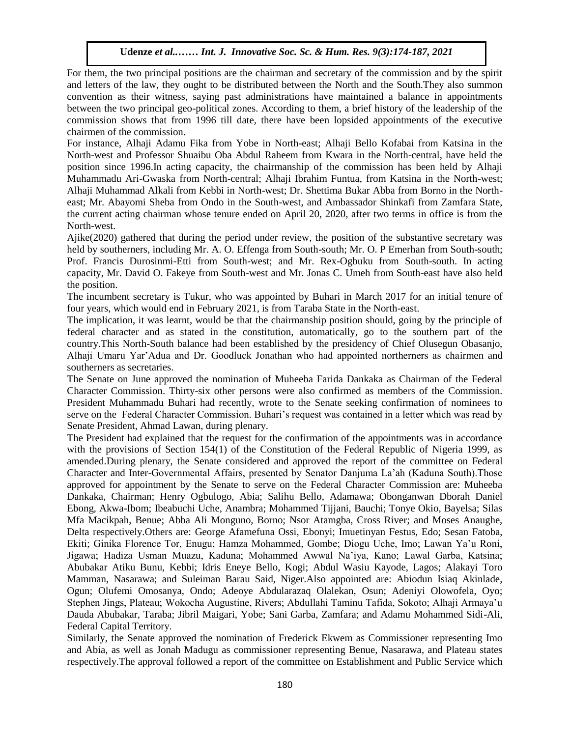For them, the two principal positions are the chairman and secretary of the commission and by the spirit and letters of the law, they ought to be distributed between the North and the South.They also summon convention as their witness, saying past administrations have maintained a balance in appointments between the two principal geo-political zones. According to them, a brief history of the leadership of the commission shows that from 1996 till date, there have been lopsided appointments of the executive chairmen of the commission.  $\alpha$  are not the commission.

For instance, Alhaji Adamu Fika from Yobe in North-east; Alhaji Bello Kofabai from Katsina in the North-west and Professor Shuaibu Oba Abdul Raheem from Kwara in the North-central, have held the position since 1996.In acting capacity, the chairmanship of the commission has been held by Alhaji Muhammadu Ari-Gwaska from North-central; Alhaji Ibrahim Funtua, from Katsina in the North-west; Alhaji Muhammad Alkali from Kebbi in North-west; Dr. Shettima Bukar Abba from Borno in the Northeast; Mr. Abayomi Sheba from Ondo in the South-west, and Ambassador Shinkafi from Zamfara State, the current acting chairman whose tenure ended on April 20, 2020, after two terms in office is from the N<sub>orth</sub> North-west.

Ajike(2020) gathered that during the period under review, the position of the substantive secretary was held by southerners, including Mr. A. O. Effenga from South-south; Mr. O. P Emerhan from South-south; Prof. Francis Durosinmi-Etti from South-west; and Mr. Rex-Ogbuku from South-south. In acting capacity, Mr. David O. Fakeye from South-west and Mr. Jonas C. Umeh from South-east have also held the position.

The incumbent secretary is Tukur, who was appointed by Buhari in March 2017 for an initial tenure of Fire meanibent secretary is Takar, who was appointed by Banari in March 2017 ton<br>four years, which would end in February 2021, is from Taraba State in the North-east.

The implication, it was learnt, would be that the chairmanship position should, going by the principle of federal character and as stated in the constitution, automatically, go to the southern part of the country. This North-South balance had been established by the presidency of Chief Olusegun Obasanjo, Alhaji Umaru Yar'Adua and Dr. Goodluck Jonathan who had appointed northerners as chairmen and southerners as secretaries.

The Senate on June approved the nomination of Muheeba Farida Dankaka as Chairman of the Federal Character Commission. Thirty-six other persons were also confirmed as members of the Commission. President Muhammadu Buhari had recently, wrote to the Senate seeking confirmation of nominees to serve on the Federal Character Commission. Buhari's request was contained in a letter which was read by Senate President, Ahmad Lawan, during plenary.

The President had explained that the request for the confirmation of the appointments was in accordance with the provisions of Section 154(1) of the Constitution of the Federal Republic of Nigeria 1999, as amended.During plenary, the Senate considered and approved the report of the committee on Federal Character and Inter-Governmental Affairs, presented by Senator Danjuma La'ah (Kaduna South).Those approved for appointment by the Senate to serve on the Federal Character Commission are: Muheeba Dankaka, Chairman; Henry Ogbulogo, Abia; Salihu Bello, Adamawa; Obonganwan Dborah Daniel Ebong, Akwa-Ibom; Ibeabuchi Uche, Anambra; Mohammed Tijjani, Bauchi; Tonye Okio, Bayelsa; Silas Mfa Macikpah, Benue; Abba Ali Monguno, Borno; Nsor Atamgba, Cross River; and Moses Anaughe, Delta respectively.Others are: George Afamefuna Ossi, Ebonyi; Imuetinyan Festus, Edo; Sesan Fatoba, Ekiti; Ginika Florence Tor, Enugu; Hamza Mohammed, Gombe; Diogu Uche, Imo; Lawan Ya'u Roni, Jigawa; Hadiza Usman Muazu, Kaduna; Mohammed Awwal Na'iya, Kano; Lawal Garba, Katsina; Abubakar Atiku Bunu, Kebbi; Idris Eneye Bello, Kogi; Abdul Wasiu Kayode, Lagos; Alakayi Toro Mamman, Nasarawa; and Suleiman Barau Said, Niger.Also appointed are: Abiodun Isiaq Akinlade, Ogun; Olufemi Omosanya, Ondo; Adeoye Abdularazaq Olalekan, Osun; Adeniyi Olowofela, Oyo; Stephen Jings, Plateau; Wokocha Augustine, Rivers; Abdullahi Taminu Tafida, Sokoto; Alhaji Armaya'u Dauda Abubakar, Taraba; Jibril Maigari, Yobe; Sani Garba, Zamfara; and Adamu Mohammed Sidi-Ali, Federal Capital Territory.

Similarly, the Senate approved the nomination of Frederick Ekwem as Commissioner representing Imo and Abia, as well as Jonah Madugu as commissioner representing Benue, Nasarawa, and Plateau states respectively.The approval followed a report of the committee on Establishment and Public Service which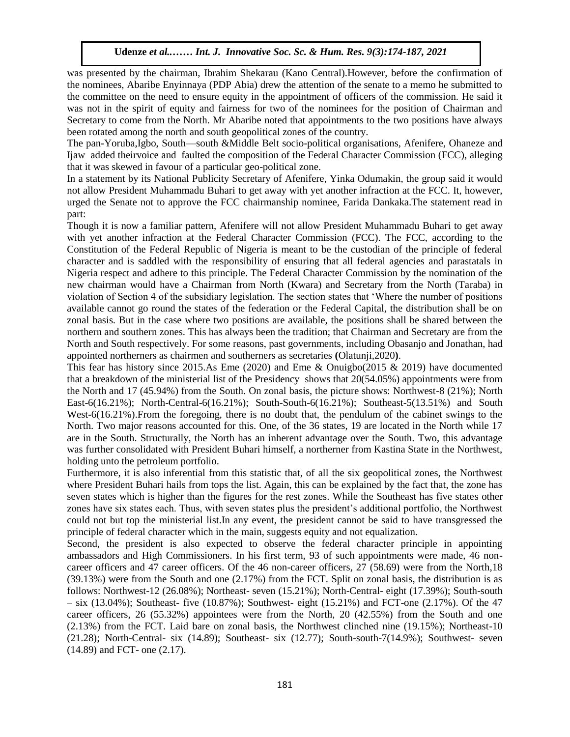was presented by the chairman, Ibrahim Shekarau (Kano Central).However, before the confirmation of the nominees, Abaribe Enyinnaya (PDP Abia) drew the attention of the senate to a memo he submitted to the committee on the need to ensure equity in the appointment of officers of the commission. He said it was not in the spirit of equity and fairness for two of the nominees for the position of Chairman and Secretary to come from the North. Mr Abaribe noted that appointments to the two positions have always been rotated among the north and south geopolitical zones of the country.

The pan-Yoruba,Igbo, South—south &Middle Belt socio-political organisations, Afenifere, Ohaneze and Ijaw added theirvoice and faulted the composition of the Federal Character Commission (FCC), alleging that it was skewed in favour of a particular geo-political zone.

In a statement by its National Publicity Secretary of Afenifere, Yinka Odumakin, the group said it would not allow President Muhammadu Buhari to get away with yet another infraction at the FCC. It, however, urged the Senate not to approve the FCC chairmanship nominee, Farida Dankaka.The statement read in part:

part.<br>Though it is now a familiar pattern, Afenifere will not allow President Muhammadu Buhari to get away with yet another infraction at the Federal Character Commission (FCC). The FCC, according to the Constitution of the Federal Republic of Nigeria is meant to be the custodian of the principle of federal character and is saddled with the responsibility of ensuring that all federal agencies and parastatals in Nigeria respect and adhere to this principle. The Federal Character Commission by the nomination of the new chairman would have a Chairman from North (Kwara) and Secretary from the North (Taraba) in violation of Section 4 of the subsidiary legislation. The section states that 'Where the number of positions available cannot go round the states of the federation or the Federal Capital, the distribution shall be on available cannot go round the states of the federation or the Federal Capital, the distribution shall be on zonal basis. But in the case where two positions are available, the positions shall be shared between the northern and southern zones. This has always been the tradition; that Chairman and Secretary are from the North and South respectively. For some reasons, past governments, including Obasanjo and Jonathan, had appointed northerners as chairmen and southerners as secretaries **(**Olatunji,2020**)**.

This fear has history since 2015.As Eme (2020) and Eme & Onuigbo(2015 & 2019) have documented that a breakdown of the ministerial list of the Presidency shows that 20(54.05%) appointments were from the North and 17 (45.94%) from the South. On zonal basis, the picture shows: Northwest-8 (21%); North East-6(16.21%); North-Central-6(16.21%); South-South-6(16.21%); Southeast-5(13.51%) and South West-6(16.21%).From the foregoing, there is no doubt that, the pendulum of the cabinet swings to the North. Two major reasons accounted for this. One, of the 36 states, 19 are located in the North while 17 are in the South. Structurally, the North has an inherent advantage over the South. Two, this advantage was further consolidated with President Buhari himself, a northerner from Kastina State in the Northwest, holding unto the petroleum portfolio.

Furthermore, it is also inferential from this statistic that, of all the six geopolitical zones, the Northwest where President Buhari hails from tops the list. Again, this can be explained by the fact that, the zone has seven states which is higher than the figures for the rest zones. While the Southeast has five states other zones have six states each. Thus, with seven states plus the president's additional portfolio, the Northwest could not but top the ministerial list.In any event, the president cannot be said to have transgressed the principle of federal character which in the main, suggests equity and not equalization.

Second, the president is also expected to observe the federal character principle in appointing ambassadors and High Commissioners. In his first term, 93 of such appointments were made, 46 noncareer officers and 47 career officers. Of the 46 non-career officers, 27 (58.69) were from the North,18 (39.13%) were from the South and one (2.17%) from the FCT. Split on zonal basis, the distribution is as follows: Northwest-12 (26.08%); Northeast- seven (15.21%); North-Central- eight (17.39%); South-south  $-$  six (13.04%); Southeast- five (10.87%); Southwest- eight (15.21%) and FCT-one (2.17%). Of the 47 career officers, 26 (55.32%) appointees were from the North, 20 (42.55%) from the South and one (2.13%) from the FCT. Laid bare on zonal basis, the Northwest clinched nine (19.15%); Northeast-10 (21.28); North-Central- six (14.89); Southeast- six (12.77); South-south-7(14.9%); Southwest- seven (14.89) and FCT- one (2.17).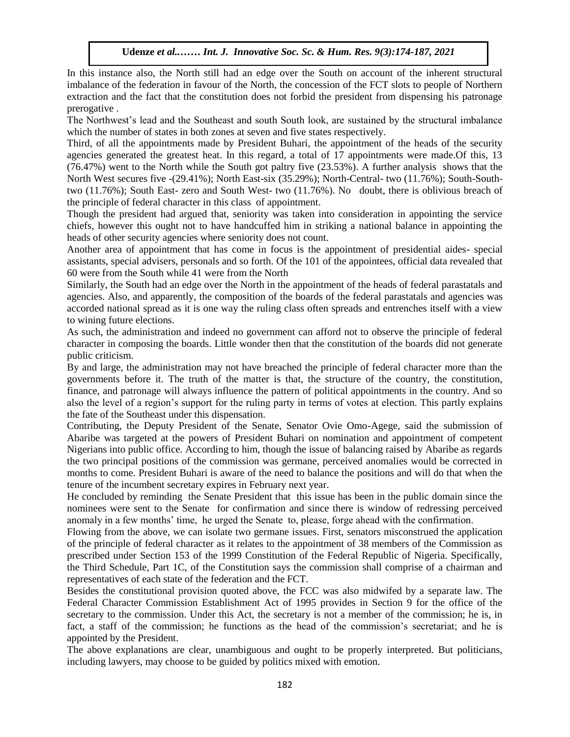In this instance also, the North still had an edge over the South on account of the inherent structural imbalance of the federation in favour of the North, the concession of the FCT slots to people of Northern extraction and the fact that the constitution does not forbid the president from dispensing his patronage prerogative .

The Northwest's lead and the Southeast and south South look, are sustained by the structural imbalance which the number of states in both zones at seven and five states respectively.

Third, of all the appointments made by President Buhari, the appointment of the heads of the security agencies generated the greatest heat. In this regard, a total of 17 appointments were made.Of this, 13 (76.47%) went to the North while the South got paltry five (23.53%). A further analysis shows that the North West secures five -(29.41%); North East-six (35.29%); North-Central- two (11.76%); South-Southtwo (11.76%); South East- zero and South West- two (11.76%). No doubt, there is oblivious breach of the principle of federal character in this class of appointment.

Though the president had argued that, seniority was taken into consideration in appointing the service rhough the president had argued that, sembiny was taken into consideration in appointing the service chiefs, however this ought not to have handcuffed him in striking a national balance in appointing the heads of other security agencies where seniority does not count.

Another area of appointment that has come in focus is the appointment of presidential aides- special assistants, special advisers, personals and so forth. Of the 101 of the appointees, official data revealed that 60 were from the South while 41 were from the North

Similarly, the South had an edge over the North in the appointment of the heads of federal parastatals and agencies. Also, and apparently, the composition of the boards of the federal parastatals and agencies was accorded national spread as it is one way the ruling class often spreads and entrenches itself with a view to wining future elections.

As such, the administration and indeed no government can afford not to observe the principle of federal character in composing the boards. Little wonder then that the constitution of the boards did not generate public criticism.

By and large, the administration may not have breached the principle of federal character more than the governments before it. The truth of the matter is that, the structure of the country, the constitution, finance, and patronage will always influence the pattern of political appointments in the country. And so also the level of a region's support for the ruling party in terms of votes at election. This partly explains the fate of the Southeast under this dispensation.

Contributing, the Deputy President of the Senate, Senator Ovie Omo-Agege, said the submission of Abaribe was targeted at the powers of President Buhari on nomination and appointment of competent Nigerians into public office. According to him, though the issue of balancing raised by Abaribe as regards the two principal positions of the commission was germane, perceived anomalies would be corrected in months to come. President Buhari is aware of the need to balance the positions and will do that when the tenure of the incumbent secretary expires in February next year.

He concluded by reminding the Senate President that this issue has been in the public domain since the nominees were sent to the Senate for confirmation and since there is window of redressing perceived anomaly in a few months' time, he urged the Senate to, please, forge ahead with the confirmation.

Flowing from the above, we can isolate two germane issues. First, senators misconstrued the application of the principle of federal character as it relates to the appointment of 38 members of the Commission as prescribed under Section 153 of the 1999 Constitution of the Federal Republic of Nigeria. Specifically, the Third Schedule, Part 1C, of the Constitution says the commission shall comprise of a chairman and representatives of each state of the federation and the FCT.

Besides the constitutional provision quoted above, the FCC was also midwifed by a separate law. The Federal Character Commission Establishment Act of 1995 provides in Section 9 for the office of the secretary to the commission. Under this Act, the secretary is not a member of the commission; he is, in fact, a staff of the commission; he functions as the head of the commission's secretariat; and he is appointed by the President.

The above explanations are clear, unambiguous and ought to be properly interpreted. But politicians, including lawyers, may choose to be guided by politics mixed with emotion.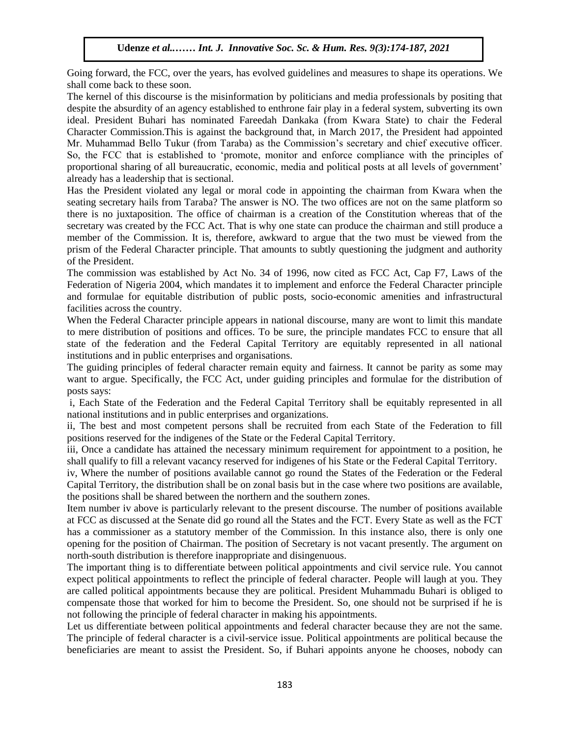Going forward, the FCC, over the years, has evolved guidelines and measures to shape its operations. We shall come back to these soon.

shan come back to these soon.<br>The kernel of this discourse is the misinformation by politicians and media professionals by positing that despite the absurdity of an agency established to enthrone fair play in a federal system, subverting its own ideal. President Buhari has nominated Fareedah Dankaka (from Kwara State) to chair the Federal Character Commission. This is against the background that, in March 2017, the President had appointed Mr. Muhammad Bello Tukur (from Taraba) as the Commission's secretary and chief executive officer. So, the FCC that is established to 'promote, monitor and enforce compliance with the principles of proportional sharing of all bureaucratic, economic, media and political posts at all levels of government' proportional sharing or an our catenarie; economic, meana and pointear posts at already has a leadership that is sectional.

Has the President violated any legal or moral code in appointing the chairman from Kwara when the seating secretary hails from Taraba? The answer is NO. The two offices are not on the same platform so there is no juxtaposition. The office of chairman is a creation of the Constitution whereas that of the secretary was created by the FCC Act. That is why one state can produce the chairman and still produce a member of the Commission. It is, therefore, awkward to argue that the two must be viewed from the prism of the Federal Character principle. That amounts to subtly questioning the judgment and authority of the President. Of the Federal endrated principie. That amounts to such y questioning to<br>Precident

The commission was established by Act No. 34 of 1996, now cited as FCC Act, Cap F7, Laws of the Federation of Nigeria 2004, which mandates it to implement and enforce the Federal Character principle and formulae for equitable distribution of public posts, socio-economic amenities and infrastructural facilities across the country.

When the Federal Character principle appears in national discourse, many are wont to limit this mandate to mere distribution of positions and offices. To be sure, the principle mandates FCC to ensure that all state of the federation and the Federal Capital Territory are equitably represented in all national institutions and in public enterprises and organisations.

The guiding principles of federal character remain equity and fairness. It cannot be parity as some may want to argue. Specifically, the FCC Act, under guiding principles and formulae for the distribution of posts says:

i, Each State of the Federation and the Federal Capital Territory shall be equitably represented in all national institutions and in public enterprises and organizations.

ii, The best and most competent persons shall be recruited from each State of the Federation to fill positions reserved for the indigenes of the State or the Federal Capital Territory.

iii, Once a candidate has attained the necessary minimum requirement for appointment to a position, he shall qualify to fill a relevant vacancy reserved for indigenes of his State or the Federal Capital Territory.

iv, Where the number of positions available cannot go round the States of the Federation or the Federal Capital Territory, the distribution shall be on zonal basis but in the case where two positions are available, the positions shall be shared between the northern and the southern zones.

Item number iv above is particularly relevant to the present discourse. The number of positions available at FCC as discussed at the Senate did go round all the States and the FCT. Every State as well as the FCT has a commissioner as a statutory member of the Commission. In this instance also, there is only one opening for the position of Chairman. The position of Secretary is not vacant presently. The argument on north-south distribution is therefore inappropriate and disingenuous.

The important thing is to differentiate between political appointments and civil service rule. You cannot expect political appointments to reflect the principle of federal character. People will laugh at you. They are called political appointments because they are political. President Muhammadu Buhari is obliged to compensate those that worked for him to become the President. So, one should not be surprised if he is not following the principle of federal character in making his appointments.

Let us differentiate between political appointments and federal character because they are not the same. The principle of federal character is a civil-service issue. Political appointments are political because the beneficiaries are meant to assist the President. So, if Buhari appoints anyone he chooses, nobody can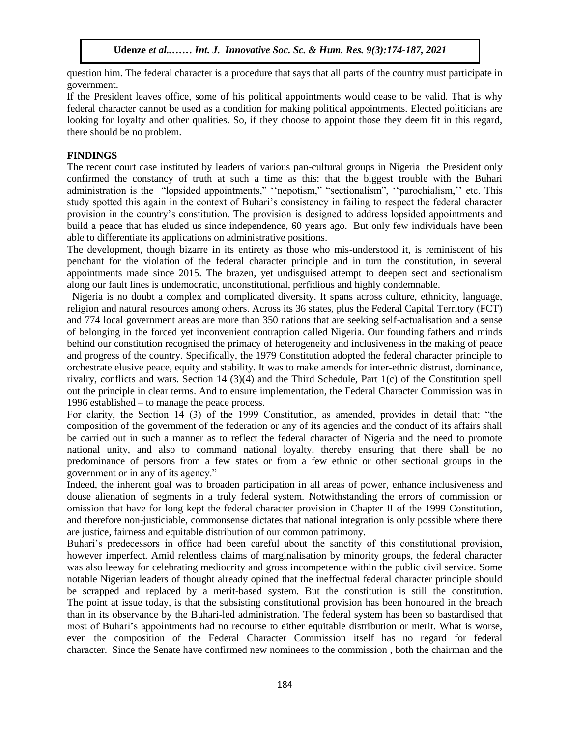question him. The federal character is a procedure that says that all parts of the country must participate in government.

If the President leaves office, some of his political appointments would cease to be valid. That is why federal character cannot be used as a condition for making political appointments. Elected politicians are looking for loyalty and other qualities. So, if they choose to appoint those they deem fit in this regard, there should be no problem.

#### **FINDINGS**

The recent court case instituted by leaders of various pan-cultural groups in Nigeria the President only confirmed the constancy of truth at such a time as this: that the biggest trouble with the Buhari administration is the "lopsided appointments," ''nepotism," "sectionalism", ''parochialism,'' etc. This study spotted this again in the context of Buhari's consistency in failing to respect the federal character provision in the country's constitution. The provision is designed to address lopsided appointments and build a peace that has eluded us since independence, 60 years ago. But only few individuals have been able to differentiate its applications on administrative positions.

The development, though bizarre in its entirety as those who mis-understood it, is reminiscent of his penchant for the violation of the federal character principle and in turn the constitution, in several appointments made since 2015. The brazen, yet undisguised attempt to deepen sect and sectionalism along our fault lines is undemocratic, unconstitutional, perfidious and highly condemnable.

Nigeria is no doubt a complex and complicated diversity. It spans across culture, ethnicity, language, religion and natural resources among others. Across its 36 states, plus the Federal Capital Territory (FCT) and 774 local government areas are more than 350 nations that are seeking self-actualisation and a sense of belonging in the forced yet inconvenient contraption called Nigeria. Our founding fathers and minds behind our constitution recognised the primacy of heterogeneity and inclusiveness in the making of peace and progress of the country. Specifically, the 1979 Constitution adopted the federal character principle to orchestrate elusive peace, equity and stability. It was to make amends for inter-ethnic distrust, dominance, rivalry, conflicts and wars. Section 14 (3)(4) and the Third Schedule, Part 1(c) of the Constitution spell out the principle in clear terms. And to ensure implementation, the Federal Character Commission was in 1996 established – to manage the peace process.

For clarity, the Section 14 (3) of the 1999 Constitution, as amended, provides in detail that: "the composition of the government of the federation or any of its agencies and the conduct of its affairs shall be carried out in such a manner as to reflect the federal character of Nigeria and the need to promote national unity, and also to command national loyalty, thereby ensuring that there shall be no predominance of persons from a few states or from a few ethnic or other sectional groups in the government or in any of its agency."

Indeed, the inherent goal was to broaden participation in all areas of power, enhance inclusiveness and douse alienation of segments in a truly federal system. Notwithstanding the errors of commission or omission that have for long kept the federal character provision in Chapter II of the 1999 Constitution, and therefore non-justiciable, commonsense dictates that national integration is only possible where there are justice, fairness and equitable distribution of our common patrimony.

Buhari's predecessors in office had been careful about the sanctity of this constitutional provision, however imperfect. Amid relentless claims of marginalisation by minority groups, the federal character was also leeway for celebrating mediocrity and gross incompetence within the public civil service. Some notable Nigerian leaders of thought already opined that the ineffectual federal character principle should be scrapped and replaced by a merit-based system. But the constitution is still the constitution. The point at issue today, is that the subsisting constitutional provision has been honoured in the breach than in its observance by the Buhari-led administration. The federal system has been so bastardised that most of Buhari's appointments had no recourse to either equitable distribution or merit. What is worse, even the composition of the Federal Character Commission itself has no regard for federal character. Since the Senate have confirmed new nominees to the commission , both the chairman and the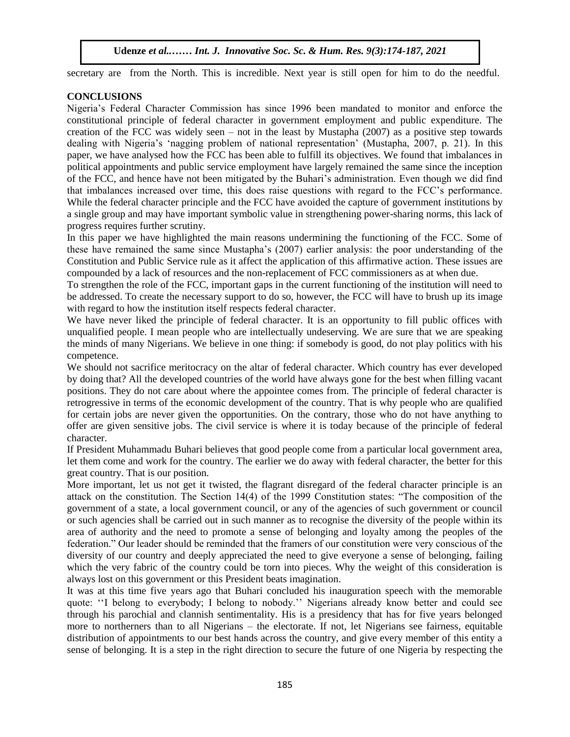secretary are from the North. This is incredible. Next year is still open for him to do the needful.

## **CONCLUSIONS**

Nigeria's Federal Character Commission has since 1996 been mandated to monitor and enforce the constitutional principle of federal character in government employment and public expenditure. The creation of the FCC was widely seen  $-$  not in the least by Mustapha (2007) as a positive step towards dealing with Nigeria's 'nagging problem of national representation' (Mustapha, 2007, p. 21). In this paper, we have analysed how the FCC has been able to fulfill its objectives. We found that imbalances in political appointments and public service employment have largely remained the same since the inception of the FCC, and hence have not been mitigated by the Buhari's administration. Even though we did find that imbalances increased over time, this does raise questions with regard to the FCC's performance. While the federal character principle and the FCC have avoided the capture of government institutions by a single group and may have important symbolic value in strengthening power-sharing norms, this lack of progress requires further scrutiny.

In this paper we have highlighted the main reasons undermining the functioning of the FCC. Some of these have remained the same since Mustapha's (2007) earlier analysis: the poor understanding of the Constitution and Public Service rule as it affect the application of this affirmative action. These issues are compounded by a lack of resources and the non-replacement of FCC commissioners as at when due.

To strengthen the role of the FCC, important gaps in the current functioning of the institution will need to be addressed. To create the necessary support to do so, however, the FCC will have to brush up its image with regard to how the institution itself respects federal character.

We have never liked the principle of federal character. It is an opportunity to fill public offices with unqualified people. I mean people who are intellectually undeserving. We are sure that we are speaking the minds of many Nigerians. We believe in one thing: if somebody is good, do not play politics with his competence.

We should not sacrifice meritocracy on the altar of federal character. Which country has ever developed by doing that? All the developed countries of the world have always gone for the best when filling vacant positions. They do not care about where the appointee comes from. The principle of federal character is retrogressive in terms of the economic development of the country. That is why people who are qualified for certain jobs are never given the opportunities. On the contrary, those who do not have anything to offer are given sensitive jobs. The civil service is where it is today because of the principle of federal character.

If President Muhammadu Buhari believes that good people come from a particular local government area, let them come and work for the country. The earlier we do away with federal character, the better for this great country. That is our position.

More important, let us not get it twisted, the flagrant disregard of the federal character principle is an attack on the constitution. The Section 14(4) of the 1999 Constitution states: "The composition of the government of a state, a local government council, or any of the agencies of such government or council or such agencies shall be carried out in such manner as to recognise the diversity of the people within its area of authority and the need to promote a sense of belonging and loyalty among the peoples of the federation." Our leader should be reminded that the framers of our constitution were very conscious of the diversity of our country and deeply appreciated the need to give everyone a sense of belonging, failing which the very fabric of the country could be torn into pieces. Why the weight of this consideration is always lost on this government or this President beats imagination.

It was at this time five years ago that Buhari concluded his inauguration speech with the memorable quote: ''I belong to everybody; I belong to nobody.'' Nigerians already know better and could see through his parochial and clannish sentimentality. His is a presidency that has for five years belonged more to northerners than to all Nigerians – the electorate. If not, let Nigerians see fairness, equitable distribution of appointments to our best hands across the country, and give every member of this entity a sense of belonging. It is a step in the right direction to secure the future of one Nigeria by respecting the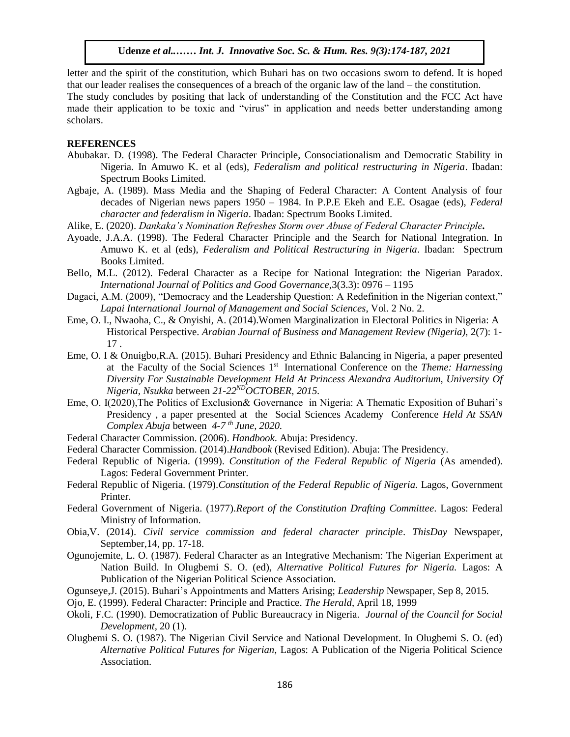letter and the spirit of the constitution, which Buhari has on two occasions sworn to defend. It is hoped that our leader realises the consequences of a breach of the organic law of the land – the constitution. The study concludes by positing that lack of understanding of the Constitution and the FCC Act have made their application to be toxic and "virus" in application and needs better understanding among

**REFERENCES**

scholars.

- Abubakar. D. (1998). The Federal Character Principle, Consociationalism and Democratic Stability in Nigeria. In Amuwo K. et al (eds), *Federalism and political restructuring in Nigeria*. Ibadan: Spectrum Books Limited.
- Agbaje, A. (1989). Mass Media and the Shaping of Federal Character: A Content Analysis of four decades of Nigerian news papers 1950 – 1984. In P.P.E Ekeh and E.E. Osagae (eds), *Federal character and federalism in Nigeria*. Ibadan: Spectrum Books Limited.
- Alike, E. (2020). *Dankaka's Nomination Refreshes Storm over Abuse of Federal Character Principle.*
- Ayoade, J.A.A. (1998). The Federal Character Principle and the Search for National Integration. In Amuwo K. et al (eds), *Federalism and Political Restructuring in Nigeria*. Ibadan: Spectrum Books Limited.
- Bello, M.L. (2012). Federal Character as a Recipe for National Integration: the Nigerian Paradox. *International Journal of Politics and Good Governance,*3(3.3): 0976 – 1195
- Dagaci, A.M. (2009), "Democracy and the Leadership Question: A Redefinition in the Nigerian context," *Lapai International Journal of Management and Social Sciences*, Vol. 2 No. 2.<br>Lapai International Journal of Management and Social Sciences, Vol. 2 No. 2.
- Eme, O. I., Nwaoha, C., & Onyishi, A. (2014).Women Marginalization in Electoral Politics in Nigeria: A Historical Perspective. *Arabian Journal of Business and Management Review (Nigeria),* 2(7): 1- 17 .  $17.$
- Eme, O. I & Onuigbo,R.A. (2015). Buhari Presidency and Ethnic Balancing in Nigeria, a paper presented at the Faculty of the Social Sciences 1st International Conference on the *Theme: Harnessing Diversity For Sustainable Development Held At Princess Alexandra Auditorium, University Of Nigeria, Nsukka* between *21-22NDOCTOBER, 2015.*
- Eme, O. I(2020),The Politics of Exclusion& Governance in Nigeria: A Thematic Exposition of Buhari's Presidency , a paper presented at the Social Sciences Academy Conference *Held At SSAN Complex Abuja* between *4-7 th June, 2020.*
- Federal Character Commission. (2006). *Handbook*. Abuja: Presidency.
- Federal Character Commission. (2014).*Handbook* (Revised Edition). Abuja: The Presidency.
- Federal Republic of Nigeria. (1999). *Constitution of the Federal Republic of Nigeria* (As amended). Lagos: Federal Government Printer.
- Federal Republic of Nigeria. (1979).*Constitution of the Federal Republic of Nigeria.* Lagos, Government Printer.
- Federal Government of Nigeria. (1977).*Report of the Constitution Drafting Committee*. Lagos: Federal Ministry of Information.
- Obia,V. (2014). *Civil service commission and federal character principle*. *ThisDay* Newspaper, September,14, pp. 17-18.
- Ogunojemite, L. O. (1987). Federal Character as an Integrative Mechanism: The Nigerian Experiment at Nation Build. In Olugbemi S. O. (ed), *Alternative Political Futures for Nigeria.* Lagos: A Publication of the Nigerian Political Science Association.
- [Ogunseye,](http://leadership.ng/reporter/jacob-ogunseye/)J. (2015). Buhari's Appointments and Matters Arising; *Leadership* Newspaper, Sep 8, 2015.
- Ojo, E. (1999). Federal Character: Principle and Practice. *The Herald*, April 18, 1999
- Okoli, F.C. (1990). Democratization of Public Bureaucracy in Nigeria. *Journal of the Council for Social Development,* 20 (1).
- Olugbemi S. O. (1987). The Nigerian Civil Service and National Development. In Olugbemi S. O. (ed) *Alternative Political Futures for Nigerian,* Lagos: A Publication of the Nigeria Political Science Association.